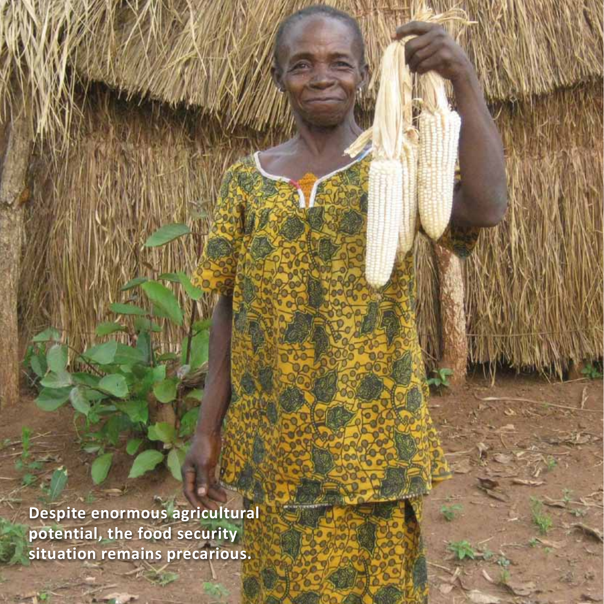**Despite enormous agricultural potential, the food security situation remains precarious.**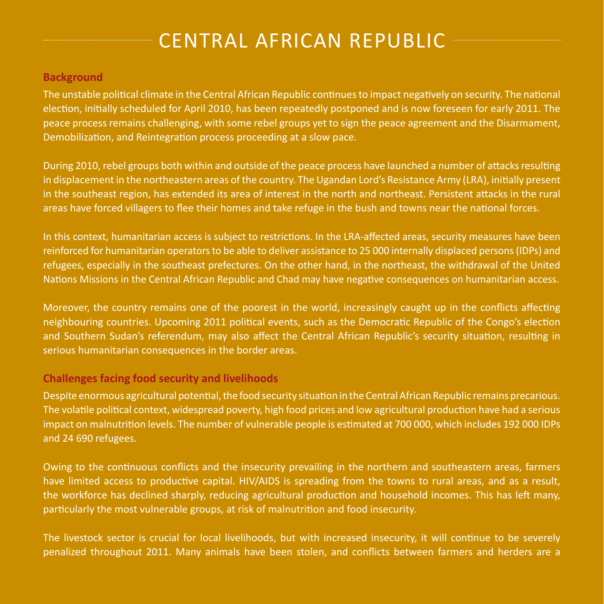# Central African Republic

#### **Background**

The unstable political climate in the Central African Republic continues to impact negatively on security. The national election, initially scheduled for April 2010, has been repeatedly postponed and is now foreseen for early 2011. The peace process remains challenging, with some rebel groups yet to sign the peace agreement and the Disarmament, Demobilization, and Reintegration process proceeding at a slow pace.

During 2010, rebel groups both within and outside of the peace process have launched a number of attacks resulting in displacement in the northeastern areas of the country. The Ugandan Lord's Resistance Army (LRA), initially present in the southeast region, has extended its area of interest in the north and northeast. Persistent attacks in the rural areas have forced villagers to flee their homes and take refuge in the bush and towns near the national forces.

In this context, humanitarian access is subject to restrictions. In the LRA-affected areas, security measures have been reinforced for humanitarian operators to be able to deliver assistance to 25 000 internally displaced persons(IDPs) and refugees, especially in the southeast prefectures. On the other hand, in the northeast, the withdrawal of the United Nations Missions in the Central African Republic and Chad may have negative consequences on humanitarian access.

Moreover, the country remains one of the poorest in the world, increasingly caught up in the conflicts affecting neighbouring countries. Upcoming 2011 political events, such as the Democratic Republic of the Congo's election and Southern Sudan's referendum, may also affect the Central African Republic's security situation, resulting in serious humanitarian consequences in the border areas.

#### **Challenges facing food security and livelihoods**

Despite enormous agricultural potential, the food security situation in the Central African Republic remains precarious. The volatile political context, widespread poverty, high food prices and low agricultural production have had a serious impact on malnutrition levels. The number of vulnerable people is estimated at 700 000, which includes 192 000 IDPs and 24 690 refugees.

Owing to the continuous conflicts and the insecurity prevailing in the northern and southeastern areas, farmers have limited access to productive capital. HIV/AIDS is spreading from the towns to rural areas, and as a result, the workforce has declined sharply, reducing agricultural production and household incomes. This has left many, particularly the most vulnerable groups, at risk of malnutrition and food insecurity.

The livestock sector is crucial for local livelihoods, but with increased insecurity, it will continue to be severely penalized throughout 2011. Many animals have been stolen, and conflicts between farmers and herders are a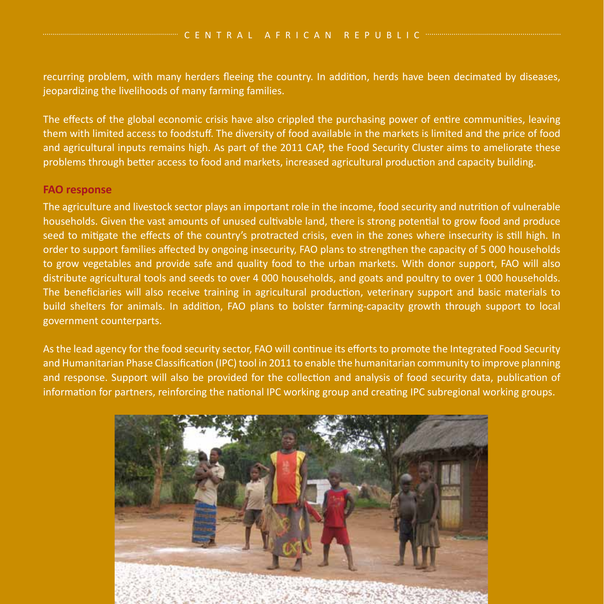recurring problem, with many herders fleeing the country. In addition, herds have been decimated by diseases, jeopardizing the livelihoods of many farming families.

The effects of the global economic crisis have also crippled the purchasing power of entire communities, leaving them with limited access to foodstuff. The diversity of food available in the markets is limited and the price of food and agricultural inputs remains high. As part of the 2011 CAP, the Food Security Cluster aims to ameliorate these problems through better access to food and markets, increased agricultural production and capacity building.

#### **FAO response**

The agriculture and livestock sector plays an important role in the income, food security and nutrition of vulnerable households. Given the vast amounts of unused cultivable land, there is strong potential to grow food and produce seed to mitigate the effects of the country's protracted crisis, even in the zones where insecurity is still high. In order to support families affected by ongoing insecurity, FAO plans to strengthen the capacity of 5 000 households to grow vegetables and provide safe and quality food to the urban markets. With donor support, FAO will also distribute agricultural tools and seeds to over 4 000 households, and goats and poultry to over 1 000 households. The beneficiaries will also receive training in agricultural production, veterinary support and basic materials to build shelters for animals. In addition, FAO plans to bolster farming-capacity growth through support to local government counterparts.

As the lead agency for the food security sector, FAO will continue its efforts to promote the Integrated Food Security and Humanitarian Phase Classification (IPC) tool in 2011 to enable the humanitarian community to improve planning and response. Support will also be provided for the collection and analysis of food security data, publication of information for partners, reinforcing the national IPC working group and creating IPC subregional working groups.

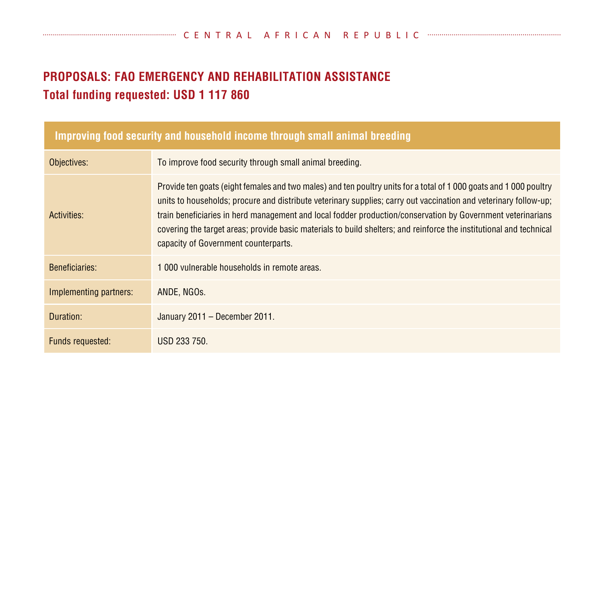## **PROPOSALS: FAO Emergency and Rehabilitation Assistance Total funding requested: USD 1 117 860**

| Improving food security and household income through small animal breeding |                                                                                                                                                                                                                                                                                                                                                                                                                                                                                                                      |  |
|----------------------------------------------------------------------------|----------------------------------------------------------------------------------------------------------------------------------------------------------------------------------------------------------------------------------------------------------------------------------------------------------------------------------------------------------------------------------------------------------------------------------------------------------------------------------------------------------------------|--|
| Objectives:                                                                | To improve food security through small animal breeding.                                                                                                                                                                                                                                                                                                                                                                                                                                                              |  |
| Activities:                                                                | Provide ten goats (eight females and two males) and ten poultry units for a total of 1 000 goats and 1 000 poultry<br>units to households; procure and distribute veterinary supplies; carry out vaccination and veterinary follow-up;<br>train beneficiaries in herd management and local fodder production/conservation by Government veterinarians<br>covering the target areas; provide basic materials to build shelters; and reinforce the institutional and technical<br>capacity of Government counterparts. |  |
| <b>Beneficiaries:</b>                                                      | 1 000 vulnerable households in remote areas.                                                                                                                                                                                                                                                                                                                                                                                                                                                                         |  |
| Implementing partners:                                                     | ANDE, NGOS.                                                                                                                                                                                                                                                                                                                                                                                                                                                                                                          |  |
| Duration:                                                                  | January 2011 - December 2011.                                                                                                                                                                                                                                                                                                                                                                                                                                                                                        |  |
| Funds requested:                                                           | USD 233 750.                                                                                                                                                                                                                                                                                                                                                                                                                                                                                                         |  |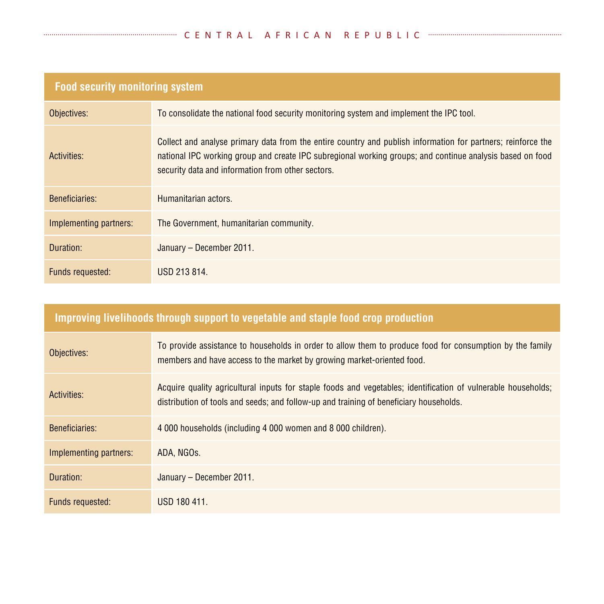| <b>Food security monitoring system</b> |                                                                                                                                                                                                                                                                                |  |
|----------------------------------------|--------------------------------------------------------------------------------------------------------------------------------------------------------------------------------------------------------------------------------------------------------------------------------|--|
| Objectives:                            | To consolidate the national food security monitoring system and implement the IPC tool.                                                                                                                                                                                        |  |
| Activities:                            | Collect and analyse primary data from the entire country and publish information for partners; reinforce the<br>national IPC working group and create IPC subregional working groups; and continue analysis based on food<br>security data and information from other sectors. |  |
| <b>Beneficiaries:</b>                  | Humanitarian actors.                                                                                                                                                                                                                                                           |  |
| Implementing partners:                 | The Government, humanitarian community.                                                                                                                                                                                                                                        |  |
| Duration:                              | January - December 2011.                                                                                                                                                                                                                                                       |  |
| Funds requested:                       | USD 213 814.                                                                                                                                                                                                                                                                   |  |

## **Improving livelihoods through support to vegetable and staple food crop production**

| Objectives:            | To provide assistance to households in order to allow them to produce food for consumption by the family<br>members and have access to the market by growing market-oriented food.                      |
|------------------------|---------------------------------------------------------------------------------------------------------------------------------------------------------------------------------------------------------|
| Activities:            | Acquire quality agricultural inputs for staple foods and vegetables; identification of vulnerable households;<br>distribution of tools and seeds; and follow-up and training of beneficiary households. |
| Beneficiaries:         | 4 000 households (including 4 000 women and 8 000 children).                                                                                                                                            |
| Implementing partners: | ADA. NGOS.                                                                                                                                                                                              |
| Duration:              | January - December 2011.                                                                                                                                                                                |
| Funds requested:       | USD 180 411.                                                                                                                                                                                            |